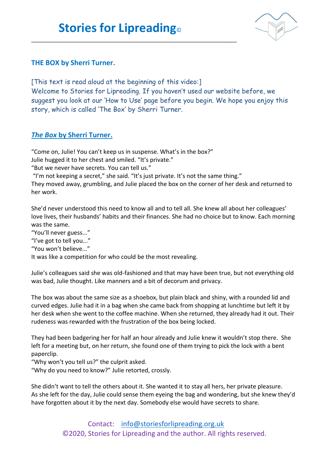\_\_\_\_\_\_\_\_\_\_\_\_\_\_\_\_\_\_\_\_\_\_\_\_\_\_\_\_\_\_\_\_\_\_\_\_\_\_\_\_\_\_\_\_\_\_\_\_\_\_\_\_\_\_\_\_\_\_\_\_\_\_\_\_\_\_\_\_



## **THE BOX by Sherri Turner.**

[This text is read aloud at the beginning of this video:] Welcome to Stories for Lipreading. If you haven't used our website before, we suggest you look at our 'How to Use' page before you begin. We hope you enjoy this story, which is called 'The Box' by Sherri Turner.

## *The Box* **by Sherri Turner.**

"Come on, Julie! You can't keep us in suspense. What's in the box?"

Julie hugged it to her chest and smiled. "It's private."

"But we never have secrets. You can tell us."

"I'm not keeping a secret," she said. "It's just private. It's not the same thing."

They moved away, grumbling, and Julie placed the box on the corner of her desk and returned to her work.

She'd never understood this need to know all and to tell all. She knew all about her colleagues' love lives, their husbands' habits and their finances. She had no choice but to know. Each morning was the same.

"You'll never guess..."

"I've got to tell you..."

"You won't believe..."

It was like a competition for who could be the most revealing.

Julie's colleagues said she was old-fashioned and that may have been true, but not everything old was bad, Julie thought. Like manners and a bit of decorum and privacy.

The box was about the same size as a shoebox, but plain black and shiny, with a rounded lid and curved edges. Julie had it in a bag when she came back from shopping at lunchtime but left it by her desk when she went to the coffee machine. When she returned, they already had it out. Their rudeness was rewarded with the frustration of the box being locked.

They had been badgering her for half an hour already and Julie knew it wouldn't stop there. She left for a meeting but, on her return, she found one of them trying to pick the lock with a bent paperclip.

"Why won't you tell us?" the culprit asked.

"Why do you need to know?" Julie retorted, crossly.

She didn't want to tell the others about it. She wanted it to stay all hers, her private pleasure. As she left for the day, Julie could sense them eyeing the bag and wondering, but she knew they'd have forgotten about it by the next day. Somebody else would have secrets to share.

> Contact: [info@storiesforlipreading.org.uk](mailto:info@storiesforlipreading.org.uk) ©2020, Stories for Lipreading and the author. All rights reserved.